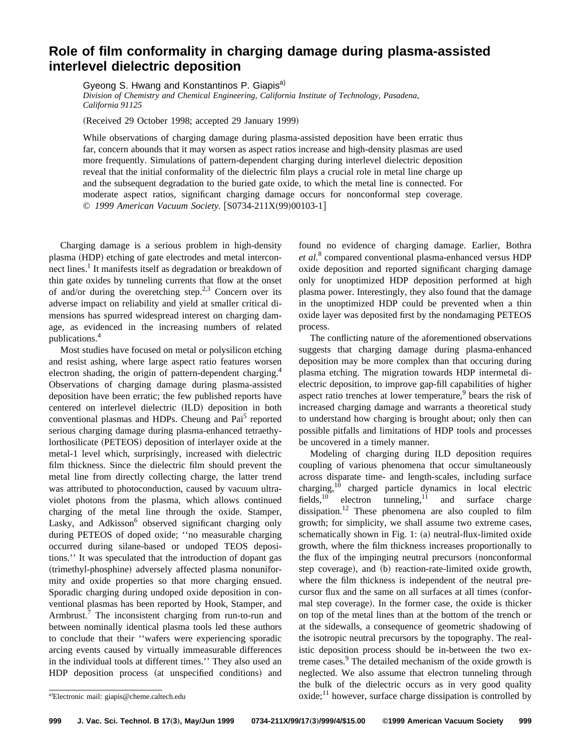## **Role of film conformality in charging damage during plasma-assisted interlevel dielectric deposition**

Gyeong S. Hwang and Konstantinos P. Giapis<sup>a)</sup> *Division of Chemistry and Chemical Engineering, California Institute of Technology, Pasadena, California 91125*

(Received 29 October 1998; accepted 29 January 1999)

While observations of charging damage during plasma-assisted deposition have been erratic thus far, concern abounds that it may worsen as aspect ratios increase and high-density plasmas are used more frequently. Simulations of pattern-dependent charging during interlevel dielectric deposition reveal that the initial conformality of the dielectric film plays a crucial role in metal line charge up and the subsequent degradation to the buried gate oxide, to which the metal line is connected. For moderate aspect ratios, significant charging damage occurs for nonconformal step coverage. © 1999 American Vacuum Society. [S0734-211X(99)00103-1]

Charging damage is a serious problem in high-density plasma (HDP) etching of gate electrodes and metal interconnect lines.<sup>1</sup> It manifests itself as degradation or breakdown of thin gate oxides by tunneling currents that flow at the onset of and/or during the overetching step.<sup>2,3</sup> Concern over its adverse impact on reliability and yield at smaller critical dimensions has spurred widespread interest on charging damage, as evidenced in the increasing numbers of related publications.4

Most studies have focused on metal or polysilicon etching and resist ashing, where large aspect ratio features worsen electron shading, the origin of pattern-dependent charging.<sup>4</sup> Observations of charging damage during plasma-assisted deposition have been erratic; the few published reports have centered on interlevel dielectric (ILD) deposition in both conventional plasmas and HDPs. Cheung and Pai<sup>5</sup> reported serious charging damage during plasma-enhanced tetraethylorthosilicate (PETEOS) deposition of interlayer oxide at the metal-1 level which, surprisingly, increased with dielectric film thickness. Since the dielectric film should prevent the metal line from directly collecting charge, the latter trend was attributed to photoconduction, caused by vacuum ultraviolet photons from the plasma, which allows continued charging of the metal line through the oxide. Stamper, Lasky, and Adkisson $<sup>6</sup>$  observed significant charging only</sup> during PETEOS of doped oxide; ''no measurable charging occurred during silane-based or undoped TEOS depositions.'' It was speculated that the introduction of dopant gas (trimethyl-phosphine) adversely affected plasma nonuniformity and oxide properties so that more charging ensued. Sporadic charging during undoped oxide deposition in conventional plasmas has been reported by Hook, Stamper, and Armbrust.<sup>7</sup> The inconsistent charging from run-to-run and between nominally identical plasma tools led these authors to conclude that their ''wafers were experiencing sporadic arcing events caused by virtually immeasurable differences in the individual tools at different times.'' They also used an HDP deposition process (at unspecified conditions) and found no evidence of charging damage. Earlier, Bothra *et al.*<sup>8</sup> compared conventional plasma-enhanced versus HDP oxide deposition and reported significant charging damage only for unoptimized HDP deposition performed at high plasma power. Interestingly, they also found that the damage in the unoptimized HDP could be prevented when a thin oxide layer was deposited first by the nondamaging PETEOS process.

The conflicting nature of the aforementioned observations suggests that charging damage during plasma-enhanced deposition may be more complex than that occuring during plasma etching. The migration towards HDP intermetal dielectric deposition, to improve gap-fill capabilities of higher aspect ratio trenches at lower temperature, $9$  bears the risk of increased charging damage and warrants a theoretical study to understand how charging is brought about; only then can possible pitfalls and limitations of HDP tools and processes be uncovered in a timely manner.

Modeling of charging during ILD deposition requires coupling of various phenomena that occur simultaneously across disparate time- and length-scales, including surface charging,<sup>10</sup> charged particle dynamics in local electric fields,  $10$  electron tunneling,  $11$  and surface charge dissipation.<sup>12</sup> These phenomena are also coupled to film growth; for simplicity, we shall assume two extreme cases, schematically shown in Fig. 1: (a) neutral-flux-limited oxide growth, where the film thickness increases proportionally to the flux of the impinging neutral precursors (nonconformal step coverage), and (b) reaction-rate-limited oxide growth, where the film thickness is independent of the neutral precursor flux and the same on all surfaces at all times (conformal step coverage). In the former case, the oxide is thicker on top of the metal lines than at the bottom of the trench or at the sidewalls, a consequence of geometric shadowing of the isotropic neutral precursors by the topography. The realistic deposition process should be in-between the two extreme cases.<sup>9</sup> The detailed mechanism of the oxide growth is neglected. We also assume that electron tunneling through the bulk of the dielectric occurs as in very good quality  $\alpha$  oxide;<sup>11</sup> however, surface charge dissipation is controlled by

a)Electronic mail: giapis@cheme.caltech.edu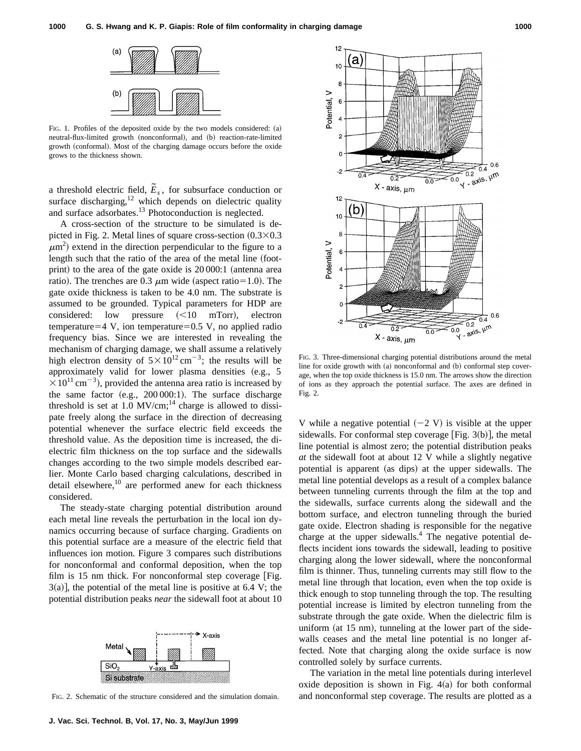

FIG. 1. Profiles of the deposited oxide by the two models considered:  $(a)$ neutral-flux-limited growth (nonconformal), and (b) reaction-rate-limited growth (conformal). Most of the charging damage occurs before the oxide grows to the thickness shown.

a threshold electric field,  $\tilde{E}_s$ , for subsurface conduction or surface discharging, $12$  which depends on dielectric quality and surface adsorbates.<sup>13</sup> Photoconduction is neglected.

A cross-section of the structure to be simulated is depicted in Fig. 2. Metal lines of square cross-section  $(0.3\times0.3)$  $\mu$ m<sup>2</sup>) extend in the direction perpendicular to the figure to a length such that the ratio of the area of the metal line (footprint) to the area of the gate oxide is  $20\,000:1$  (antenna area ratio). The trenches are 0.3  $\mu$ m wide (aspect ratio=1.0). The gate oxide thickness is taken to be 4.0 nm. The substrate is assumed to be grounded. Typical parameters for HDP are considered: low pressure  $(<10$  mTorr), electron temperature=4 V, ion temperature=0.5 V, no applied radio frequency bias. Since we are interested in revealing the mechanism of charging damage, we shall assume a relatively high electron density of  $5 \times 10^{12}$  cm<sup>-3</sup>; the results will be approximately valid for lower plasma densities  $(e.g., 5)$  $\times 10^{11}$  cm<sup>-3</sup>), provided the antenna area ratio is increased by the same factor  $(e.g., 200 000:1)$ . The surface discharge threshold is set at 1.0  $MV/cm$ ;<sup>14</sup> charge is allowed to dissipate freely along the surface in the direction of decreasing potential whenever the surface electric field exceeds the threshold value. As the deposition time is increased, the dielectric film thickness on the top surface and the sidewalls changes according to the two simple models described earlier. Monte Carlo based charging calculations, described in detail elsewhere, $10$  are performed anew for each thickness considered.

The steady-state charging potential distribution around each metal line reveals the perturbation in the local ion dynamics occurring because of surface charging. Gradients on this potential surface are a measure of the electric field that influences ion motion. Figure 3 compares such distributions for nonconformal and conformal deposition, when the top film is 15 nm thick. For nonconformal step coverage  $[Fig.$  $3(a)$ , the potential of the metal line is positive at 6.4 V; the potential distribution peaks *near* the sidewall foot at about 10



FIG. 2. Schematic of the structure considered and the simulation domain.



FIG. 3. Three-dimensional charging potential distributions around the metal line for oxide growth with  $(a)$  nonconformal and  $(b)$  conformal step coverage, when the top oxide thickness is 15.0 nm. The arrows show the direction of ions as they approach the potential surface. The axes are defined in Fig. 2.

V while a negative potential  $(-2 V)$  is visible at the upper sidewalls. For conformal step coverage  $|Fig. 3(b)|$ , the metal line potential is almost zero; the potential distribution peaks *at* the sidewall foot at about 12 V while a slightly negative potential is apparent (as dips) at the upper sidewalls. The metal line potential develops as a result of a complex balance between tunneling currents through the film at the top and the sidewalls, surface currents along the sidewall and the bottom surface, and electron tunneling through the buried gate oxide. Electron shading is responsible for the negative charge at the upper sidewalls.<sup>4</sup> The negative potential deflects incident ions towards the sidewall, leading to positive charging along the lower sidewall, where the nonconformal film is thinner. Thus, tunneling currents may still flow to the metal line through that location, even when the top oxide is thick enough to stop tunneling through the top. The resulting potential increase is limited by electron tunneling from the substrate through the gate oxide. When the dielectric film is uniform (at  $15 \text{ nm}$ ), tunneling at the lower part of the sidewalls ceases and the metal line potential is no longer affected. Note that charging along the oxide surface is now controlled solely by surface currents.

The variation in the metal line potentials during interlevel oxide deposition is shown in Fig.  $4(a)$  for both conformal and nonconformal step coverage. The results are plotted as a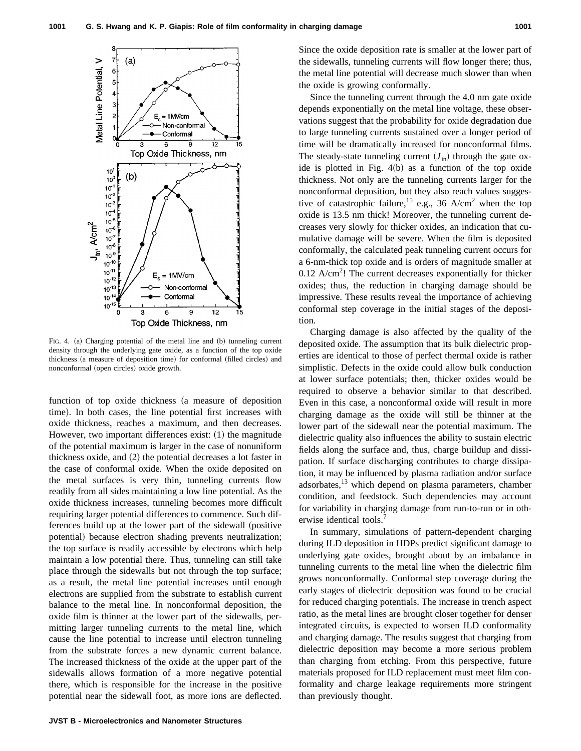

FIG. 4. (a) Charging potential of the metal line and (b) tunneling current density through the underlying gate oxide, as a function of the top oxide thickness (a measure of deposition time) for conformal (filled circles) and nonconformal (open circles) oxide growth.

function of top oxide thickness (a measure of deposition time). In both cases, the line potential first increases with oxide thickness, reaches a maximum, and then decreases. However, two important differences exist:  $(1)$  the magnitude of the potential maximum is larger in the case of nonuniform thickness oxide, and  $(2)$  the potential decreases a lot faster in the case of conformal oxide. When the oxide deposited on the metal surfaces is very thin, tunneling currents flow readily from all sides maintaining a low line potential. As the oxide thickness increases, tunneling becomes more difficult requiring larger potential differences to commence. Such differences build up at the lower part of the sidewall (positive potential) because electron shading prevents neutralization; the top surface is readily accessible by electrons which help maintain a low potential there. Thus, tunneling can still take place through the sidewalls but not through the top surface; as a result, the metal line potential increases until enough electrons are supplied from the substrate to establish current balance to the metal line. In nonconformal deposition, the oxide film is thinner at the lower part of the sidewalls, permitting larger tunneling currents to the metal line, which cause the line potential to increase until electron tunneling from the substrate forces a new dynamic current balance. The increased thickness of the oxide at the upper part of the sidewalls allows formation of a more negative potential there, which is responsible for the increase in the positive potential near the sidewall foot, as more ions are deflected. Since the oxide deposition rate is smaller at the lower part of the sidewalls, tunneling currents will flow longer there; thus, the metal line potential will decrease much slower than when the oxide is growing conformally.

Since the tunneling current through the 4.0 nm gate oxide depends exponentially on the metal line voltage, these observations suggest that the probability for oxide degradation due to large tunneling currents sustained over a longer period of time will be dramatically increased for nonconformal films. The steady-state tunneling current  $(J_{in})$  through the gate oxide is plotted in Fig.  $4(b)$  as a function of the top oxide thickness. Not only are the tunneling currents larger for the nonconformal deposition, but they also reach values suggestive of catastrophic failure,<sup>15</sup> e.g., 36 A/cm<sup>2</sup> when the top oxide is 13.5 nm thick! Moreover, the tunneling current decreases very slowly for thicker oxides, an indication that cumulative damage will be severe. When the film is deposited conformally, the calculated peak tunneling current occurs for a 6-nm-thick top oxide and is orders of magnitude smaller at  $0.12$  A/cm<sup>2</sup>! The current decreases exponentially for thicker oxides; thus, the reduction in charging damage should be impressive. These results reveal the importance of achieving conformal step coverage in the initial stages of the deposition.

Charging damage is also affected by the quality of the deposited oxide. The assumption that its bulk dielectric properties are identical to those of perfect thermal oxide is rather simplistic. Defects in the oxide could allow bulk conduction at lower surface potentials; then, thicker oxides would be required to observe a behavior similar to that described. Even in this case, a nonconformal oxide will result in more charging damage as the oxide will still be thinner at the lower part of the sidewall near the potential maximum. The dielectric quality also influences the ability to sustain electric fields along the surface and, thus, charge buildup and dissipation. If surface discharging contributes to charge dissipation, it may be influenced by plasma radiation and/or surface adsorbates,<sup>13</sup> which depend on plasma parameters, chamber condition, and feedstock. Such dependencies may account for variability in charging damage from run-to-run or in otherwise identical tools.

In summary, simulations of pattern-dependent charging during ILD deposition in HDPs predict significant damage to underlying gate oxides, brought about by an imbalance in tunneling currents to the metal line when the dielectric film grows nonconformally. Conformal step coverage during the early stages of dielectric deposition was found to be crucial for reduced charging potentials. The increase in trench aspect ratio, as the metal lines are brought closer together for denser integrated circuits, is expected to worsen ILD conformality and charging damage. The results suggest that charging from dielectric deposition may become a more serious problem than charging from etching. From this perspective, future materials proposed for ILD replacement must meet film conformality and charge leakage requirements more stringent than previously thought.